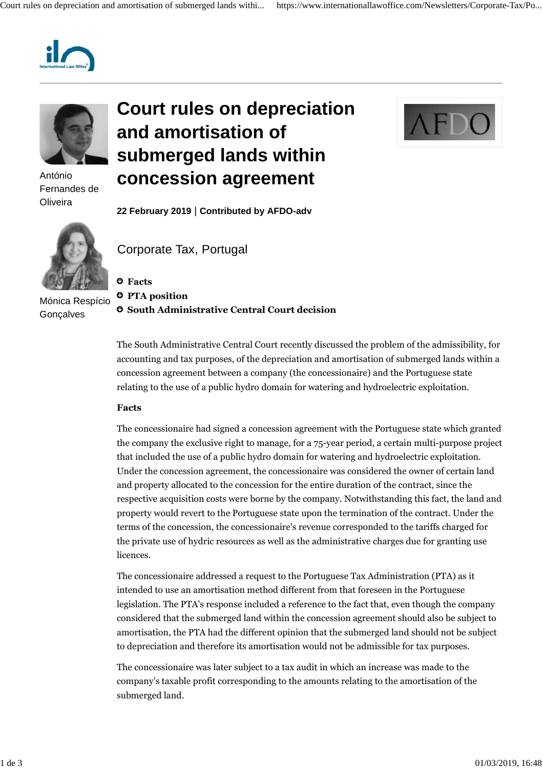



António Fernandes de **Oliveira** 



Mónica Respício **Gonçalves** 

# **Court rules on depreciation and amortisation of submerged lands within concession agreement**



**22 February 2019** | **Contributed by AFDO-adv**

Corporate Tax, Portugal

# **Facts**

 **PTA position**

**South Administrative Central Court decision**

The South Administrative Central Court recently discussed the problem of the admissibility, for accounting and tax purposes, of the depreciation and amortisation of submerged lands within a concession agreement between a company (the concessionaire) and the Portuguese state relating to the use of a public hydro domain for watering and hydroelectric exploitation.

### **Facts**

The concessionaire had signed a concession agreement with the Portuguese state which granted the company the exclusive right to manage, for a 75-year period, a certain multi-purpose project that included the use of a public hydro domain for watering and hydroelectric exploitation. Under the concession agreement, the concessionaire was considered the owner of certain land and property allocated to the concession for the entire duration of the contract, since the respective acquisition costs were borne by the company. Notwithstanding this fact, the land and property would revert to the Portuguese state upon the termination of the contract. Under the terms of the concession, the concessionaire's revenue corresponded to the tariffs charged for the private use of hydric resources as well as the administrative charges due for granting use licences.

The concessionaire addressed a request to the Portuguese Tax Administration (PTA) as it intended to use an amortisation method different from that foreseen in the Portuguese legislation. The PTA's response included a reference to the fact that, even though the company considered that the submerged land within the concession agreement should also be subject to amortisation, the PTA had the different opinion that the submerged land should not be subject to depreciation and therefore its amortisation would not be admissible for tax purposes.

The concessionaire was later subject to a tax audit in which an increase was made to the company's taxable profit corresponding to the amounts relating to the amortisation of the submerged land.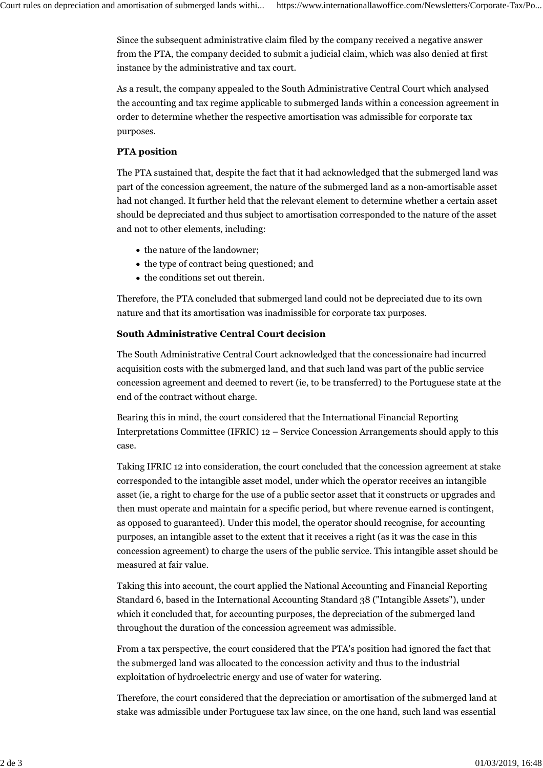Since the subsequent administrative claim filed by the company received a negative answer from the PTA, the company decided to submit a judicial claim, which was also denied at first instance by the administrative and tax court.

As a result, the company appealed to the South Administrative Central Court which analysed the accounting and tax regime applicable to submerged lands within a concession agreement in order to determine whether the respective amortisation was admissible for corporate tax purposes.

# **PTA position**

The PTA sustained that, despite the fact that it had acknowledged that the submerged land was part of the concession agreement, the nature of the submerged land as a non-amortisable asset had not changed. It further held that the relevant element to determine whether a certain asset should be depreciated and thus subject to amortisation corresponded to the nature of the asset and not to other elements, including:

- the nature of the landowner;
- the type of contract being questioned; and
- the conditions set out therein.

Therefore, the PTA concluded that submerged land could not be depreciated due to its own nature and that its amortisation was inadmissible for corporate tax purposes.

# **South Administrative Central Court decision**

The South Administrative Central Court acknowledged that the concessionaire had incurred acquisition costs with the submerged land, and that such land was part of the public service concession agreement and deemed to revert (ie, to be transferred) to the Portuguese state at the end of the contract without charge.

Bearing this in mind, the court considered that the International Financial Reporting Interpretations Committee (IFRIC) 12 – Service Concession Arrangements should apply to this case.

Taking IFRIC 12 into consideration, the court concluded that the concession agreement at stake corresponded to the intangible asset model, under which the operator receives an intangible asset (ie, a right to charge for the use of a public sector asset that it constructs or upgrades and then must operate and maintain for a specific period, but where revenue earned is contingent, as opposed to guaranteed). Under this model, the operator should recognise, for accounting purposes, an intangible asset to the extent that it receives a right (as it was the case in this concession agreement) to charge the users of the public service. This intangible asset should be measured at fair value.

Taking this into account, the court applied the National Accounting and Financial Reporting Standard 6, based in the International Accounting Standard 38 ("Intangible Assets"), under which it concluded that, for accounting purposes, the depreciation of the submerged land throughout the duration of the concession agreement was admissible.

From a tax perspective, the court considered that the PTA's position had ignored the fact that the submerged land was allocated to the concession activity and thus to the industrial exploitation of hydroelectric energy and use of water for watering.

Therefore, the court considered that the depreciation or amortisation of the submerged land at stake was admissible under Portuguese tax law since, on the one hand, such land was essential